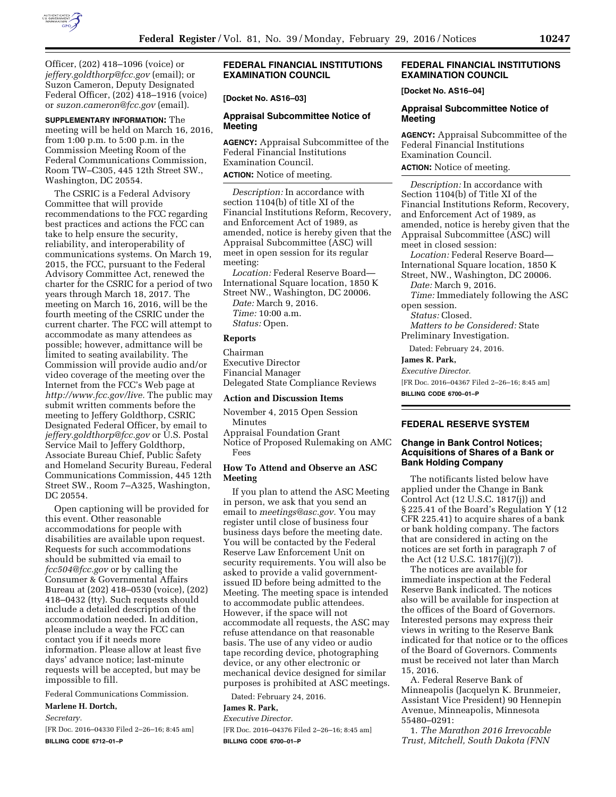

Officer, (202) 418–1096 (voice) or *[jeffery.goldthorp@fcc.gov](mailto:jeffery.goldthorp@fcc.gov)* (email); or Suzon Cameron, Deputy Designated Federal Officer, (202) 418–1916 (voice) or *[suzon.cameron@fcc.gov](mailto:suzon.cameron@fcc.gov)* (email).

**SUPPLEMENTARY INFORMATION:** The meeting will be held on March 16, 2016, from 1:00 p.m. to 5:00 p.m. in the Commission Meeting Room of the Federal Communications Commission, Room TW–C305, 445 12th Street SW., Washington, DC 20554.

The CSRIC is a Federal Advisory Committee that will provide recommendations to the FCC regarding best practices and actions the FCC can take to help ensure the security, reliability, and interoperability of communications systems. On March 19, 2015, the FCC, pursuant to the Federal Advisory Committee Act, renewed the charter for the CSRIC for a period of two years through March 18, 2017. The meeting on March 16, 2016, will be the fourth meeting of the CSRIC under the current charter. The FCC will attempt to accommodate as many attendees as possible; however, admittance will be limited to seating availability. The Commission will provide audio and/or video coverage of the meeting over the Internet from the FCC's Web page at *[http://www.fcc.gov/live.](http://www.fcc.gov/live)* The public may submit written comments before the meeting to Jeffery Goldthorp, CSRIC Designated Federal Officer, by email to *[jeffery.goldthorp@fcc.gov](mailto:jeffery.goldthorp@fcc.gov)* or U.S. Postal Service Mail to Jeffery Goldthorp, Associate Bureau Chief, Public Safety and Homeland Security Bureau, Federal Communications Commission, 445 12th Street SW., Room 7–A325, Washington, DC 20554.

Open captioning will be provided for this event. Other reasonable accommodations for people with disabilities are available upon request. Requests for such accommodations should be submitted via email to *[fcc504@fcc.gov](mailto:fcc504@fcc.gov)* or by calling the Consumer & Governmental Affairs Bureau at (202) 418–0530 (voice), (202) 418–0432 (tty). Such requests should include a detailed description of the accommodation needed. In addition, please include a way the FCC can contact you if it needs more information. Please allow at least five days' advance notice; last-minute requests will be accepted, but may be impossible to fill.

Federal Communications Commission.

#### **Marlene H. Dortch,**

*Secretary.* 

[FR Doc. 2016–04330 Filed 2–26–16; 8:45 am] **BILLING CODE 6712–01–P** 

# **FEDERAL FINANCIAL INSTITUTIONS EXAMINATION COUNCIL**

### **[Docket No. AS16–03]**

### **Appraisal Subcommittee Notice of Meeting**

**AGENCY:** Appraisal Subcommittee of the Federal Financial Institutions Examination Council.

**ACTION:** Notice of meeting.

*Description:* In accordance with section 1104(b) of title XI of the Financial Institutions Reform, Recovery, and Enforcement Act of 1989, as amended, notice is hereby given that the Appraisal Subcommittee (ASC) will meet in open session for its regular meeting:

*Location:* Federal Reserve Board— International Square location, 1850 K Street NW., Washington, DC 20006.

*Date:* March 9, 2016. *Time:* 10:00 a.m. *Status:* Open.

#### **Reports**

Chairman Executive Director Financial Manager Delegated State Compliance Reviews

#### **Action and Discussion Items**

November 4, 2015 Open Session Minutes

Appraisal Foundation Grant

Notice of Proposed Rulemaking on AMC Fees

## **How To Attend and Observe an ASC Meeting**

If you plan to attend the ASC Meeting in person, we ask that you send an email to *[meetings@asc.gov.](mailto:meetings@asc.gov)* You may register until close of business four business days before the meeting date. You will be contacted by the Federal Reserve Law Enforcement Unit on security requirements. You will also be asked to provide a valid governmentissued ID before being admitted to the Meeting. The meeting space is intended to accommodate public attendees. However, if the space will not accommodate all requests, the ASC may refuse attendance on that reasonable basis. The use of any video or audio tape recording device, photographing device, or any other electronic or mechanical device designed for similar purposes is prohibited at ASC meetings.

Dated: February 24, 2016.

# **James R. Park,**

*Executive Director.* 

[FR Doc. 2016–04376 Filed 2–26–16; 8:45 am] **BILLING CODE 6700–01–P** 

## **FEDERAL FINANCIAL INSTITUTIONS EXAMINATION COUNCIL**

### **[Docket No. AS16–04]**

#### **Appraisal Subcommittee Notice of Meeting**

**AGENCY:** Appraisal Subcommittee of the Federal Financial Institutions Examination Council.

**ACTION:** Notice of meeting.

*Description:* In accordance with Section 1104(b) of Title XI of the Financial Institutions Reform, Recovery, and Enforcement Act of 1989, as amended, notice is hereby given that the Appraisal Subcommittee (ASC) will meet in closed session:

*Location:* Federal Reserve Board— International Square location, 1850 K Street, NW., Washington, DC 20006.

*Date:* March 9, 2016.

*Time:* Immediately following the ASC open session.

*Status:* Closed.

*Matters to be Considered:* State Preliminary Investigation.

Dated: February 24, 2016.

#### **James R. Park,**

*Executive Director.* 

[FR Doc. 2016–04367 Filed 2–26–16; 8:45 am] **BILLING CODE 6700–01–P** 

## **FEDERAL RESERVE SYSTEM**

#### **Change in Bank Control Notices; Acquisitions of Shares of a Bank or Bank Holding Company**

The notificants listed below have applied under the Change in Bank Control Act (12 U.S.C. 1817(j)) and § 225.41 of the Board's Regulation Y (12 CFR 225.41) to acquire shares of a bank or bank holding company. The factors that are considered in acting on the notices are set forth in paragraph 7 of the Act (12 U.S.C. 1817(j)(7)).

The notices are available for immediate inspection at the Federal Reserve Bank indicated. The notices also will be available for inspection at the offices of the Board of Governors. Interested persons may express their views in writing to the Reserve Bank indicated for that notice or to the offices of the Board of Governors. Comments must be received not later than March 15, 2016.

A. Federal Reserve Bank of Minneapolis (Jacquelyn K. Brunmeier, Assistant Vice President) 90 Hennepin Avenue, Minneapolis, Minnesota 55480–0291:

1. *The Marathon 2016 Irrevocable Trust, Mitchell, South Dakota (FNN*